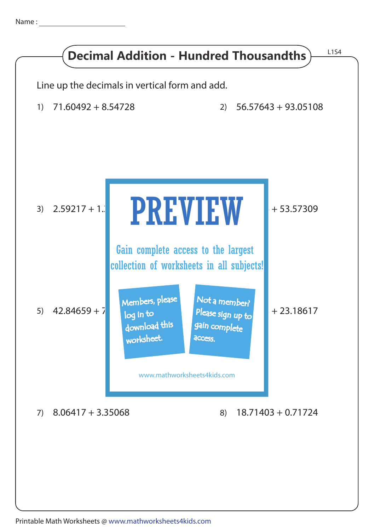